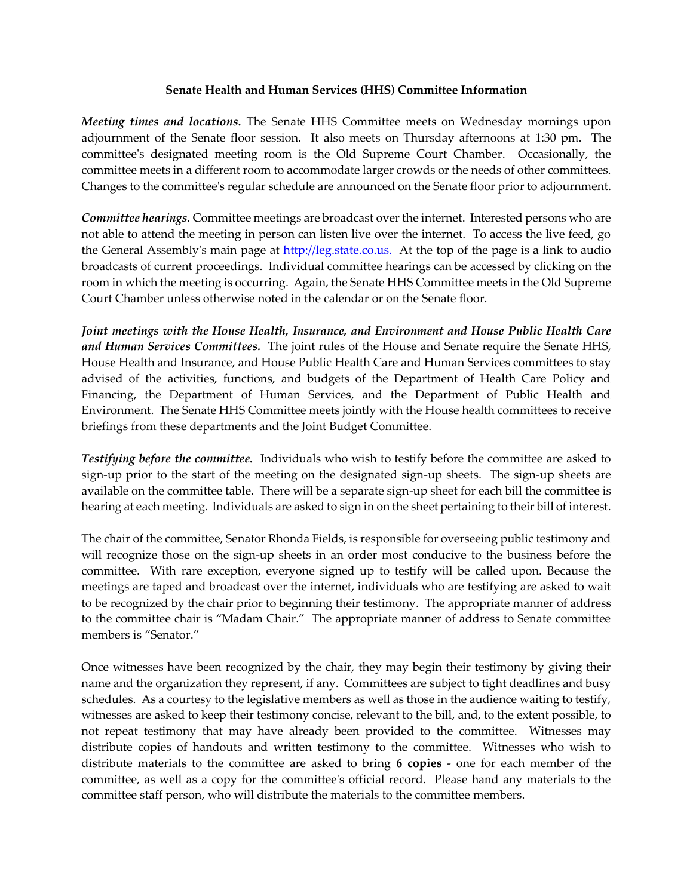## **Senate Health and Human Services (HHS) Committee Information**

*Meeting times and locations.* The Senate HHS Committee meets on Wednesday mornings upon adjournment of the Senate floor session. It also meets on Thursday afternoons at 1:30 pm. The committee's designated meeting room is the Old Supreme Court Chamber. Occasionally, the committee meets in a different room to accommodate larger crowds or the needs of other committees. Changes to the committee's regular schedule are announced on the Senate floor prior to adjournment.

*Committee hearings.* Committee meetings are broadcast over the internet. Interested persons who are not able to attend the meeting in person can listen live over the internet. To access the live feed, go the General Assembly's main page at http://leg.state.co.us. At the top of the page is a link to audio broadcasts of current proceedings. Individual committee hearings can be accessed by clicking on the room in which the meeting is occurring. Again, the Senate HHS Committee meets in the Old Supreme Court Chamber unless otherwise noted in the calendar or on the Senate floor.

*Joint meetings with the House Health, Insurance, and Environment and House Public Health Care and Human Services Committees.* The joint rules of the House and Senate require the Senate HHS, House Health and Insurance, and House Public Health Care and Human Services committees to stay advised of the activities, functions, and budgets of the Department of Health Care Policy and Financing, the Department of Human Services, and the Department of Public Health and Environment. The Senate HHS Committee meets jointly with the House health committees to receive briefings from these departments and the Joint Budget Committee.

*Testifying before the committee.* Individuals who wish to testify before the committee are asked to sign-up prior to the start of the meeting on the designated sign-up sheets. The sign-up sheets are available on the committee table. There will be a separate sign-up sheet for each bill the committee is hearing at each meeting. Individuals are asked to sign in on the sheet pertaining to their bill of interest.

The chair of the committee, Senator Rhonda Fields, is responsible for overseeing public testimony and will recognize those on the sign-up sheets in an order most conducive to the business before the committee. With rare exception, everyone signed up to testify will be called upon. Because the meetings are taped and broadcast over the internet, individuals who are testifying are asked to wait to be recognized by the chair prior to beginning their testimony. The appropriate manner of address to the committee chair is "Madam Chair." The appropriate manner of address to Senate committee members is "Senator."

Once witnesses have been recognized by the chair, they may begin their testimony by giving their name and the organization they represent, if any. Committees are subject to tight deadlines and busy schedules. As a courtesy to the legislative members as well as those in the audience waiting to testify, witnesses are asked to keep their testimony concise, relevant to the bill, and, to the extent possible, to not repeat testimony that may have already been provided to the committee. Witnesses may distribute copies of handouts and written testimony to the committee. Witnesses who wish to distribute materials to the committee are asked to bring **6 copies** - one for each member of the committee, as well as a copy for the committee's official record. Please hand any materials to the committee staff person, who will distribute the materials to the committee members.